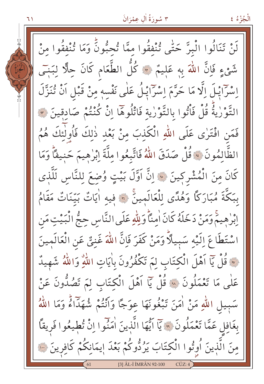۱ ۲

الْجُزْءُ ٤

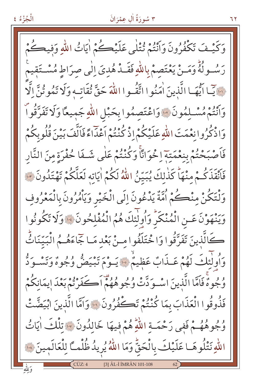## ٣ سُورَةُ أَلِ عِمْرَانَ

وَكَيْفَ تَكْفُرُونَ وَأَنْتُمْ تُتْلَى عَلَيْڪُمْ اٰيَاتُ اللّٰهِ وَفِيڪُ رَسُــولُهُ وَمَــنْ يَعْتَصِمْ بِاللَّهِ فَقَــدْ هُدِيَ اِلٰى صرَاطِ مُسْــتَقِيمْ ... يَبَا ايُّهَـا الَّذِينَ اٰمَنُوا اتَّقُـوا اللَّهَ حَقَّ ثُقَاتِهِ وَلَا تَمُوثُنَّ اِلَّا وَٱنْتُمْ مُسْـلِمُونَ ۚ.. وَاعْتَصِمُوا بِحَبْلِ اللّهِ جَمِيعًا وَلَا تَفَرَّقُوا ۖ وَاذْكُرُوا نِعْمَتَ اللَّهِ عَلَيْكُمْ!ذْ كُنْتُمْ اَعْدَاءً فَاَلَّفَ بَيْنَ قُلُو بِكُمْ فَاَصْبَحْتُمْ بِنِعْمَتِهِ اِخْوَانَّا وَكُنْتُمْ عَلٰى شَـفَا حُفْرَةِ مِنَ النَّار فَأَنْقَذَكُمْ مِنْهَا كَذٰلِكَ يُبَيِّنُ اللَّهُ لَكُمْ اٰيَاتِهِ لَعَلَّكُمْ تَهْتَدُونَ ٣٠ وَلْتَكُنْ مِنْكُمْ أُمَّةٌ يَدْعُونَ إِلَى الْخَيْرِ وَيَأْمُرُونَ بِالْمَعْرُوفِ وَيَنْهَوْنَ عَـنِ الْمُنْكَرِّ وَأُولِٰئِكَ هُمُ الْمُفْلِحُونَ ﴾ وَلَا تَكُونُوا كَالَّذِينَ تَفَرَّقُوا وَاخْتَلَفُوا مِنْ بَعْدِ مَـا جَمَاءَهُــمُ الْبَيِّنَاثُ وَأُولَٰئِكَ لَهُمْ عَـذَابٌ عَظِيمٌ ۚ يَـوْمَ تَبْيَضٌ وُجُوهٌ وَتَسْـوَدُّ وُجُوهٌ فَاَمَّا الَّذِينَ اسْوَدَّتْ وُجُوهُهُمْ أَكَفَرْتُمْ بَعْدَ ايمَانِكُمْ فَذُوقُوا الْعَذَابَ بِمَا كُنْتُمْ تَكْفُرُونَ ۞ وَاَمَّا الَّذِينَ ابْيَضَّتْ وُجُوهُهُمْ فَفِي رَحْمَةِ اللَّهِ هُمْ فِيهَا خَالِدُونَ ﴾ تِلْكَ اٰيَاتُ اللّٰهِ نَتْلُوهَـا عَلَيْكَ بِالْحَقِّ وَمَا اللّٰهُ يُرِيدُ ظُلْمَـَّا لِلْعَالَمِينَ ۞ [3] ÂL-İ İMRÂN 101-108

۲ ۲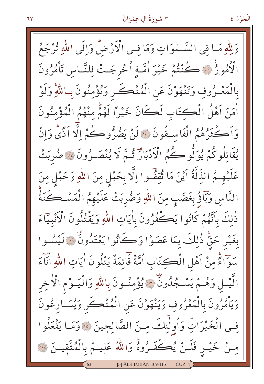وَلِلّٰهِ مَـا فِي السَّــٰموَاتِ وَمَا فِـى الْأَرْضُ وَالَى اللهِ تُرْجَعُ الْأُمُورُ ۚ فَ كُنْتُمْ خَيْرَ اُمَّـةِ اُخْرِجَـتْ لِلنَّـاسِ تَأْمُرُونَ بِالْمَعْـرُوفِ وَتَنْهَوْنَ عَنِ الْمُنْكَــرِ وَتُؤْمِنُونَ بِـاللّهِ وَلَوْ أَمَنَ آَهْلُ الْكِتَابِ لَكَانَ خَيْرًا لَهُمْ مِنْهُمُ الْمُؤْمِنُونَ وَاَكْثَرُهُمُ الْفَاسِقُونَ ۚ " لَنْ يَضُرُّوكُمْ إِلَّا اَذًى وَإِنْ يُقَاتِلُوكُمْ يُوَلُّوكُمْ وَكُمُ الْأَدْبَارَ ثُـمَّ لَا يُنْصَـرُونَ ۞ صُربَتْ عَلَيْهِـمُ الذِّلَّةُ اَيْنَ مَا ثُقِفٌـوا اِلَّا بِحَبْلٍ مِنَ اللهِ وَحَبْلٍ مِنَ النَّاسِ وَبَآؤُ بِغَضَبٍ مِنَ اللّٰهِ وَضُرِبَتْ عَلَيْهِمُ الْمَسْكَنَةُ ذٰلِكَ بِٱنَّهُمْ كَانُوا يَكْفُرُونَ بِاٰيَاتِ اللهِ وَيَقْتُلُونَ الْأَنْبِيَّاءَ بِغَيْرِ حَقٌّ ذٰلِكَ بِمَا عَصَوْا وَكَانُوا يَعْتَدُونٌّ ۞ لَيْسُـوا سَوَّاءً مِنْ أَهْلِ الْكِتَابِ أُمَّةٌ قَائِمَةٌ يَتْلُونَ أيَاتِ اللّهِ أَنَاءَ الَّيْــلِ وَهُــمْ يَسْــجُدُونٍّ ۚ ۚ وَا يُؤْمِنُــونَ بِاللّٰهِ وَالْيَــوْمِ الْأَخِر وَيَأْمُرُونَ بِالْمَعْرُوفِ وَيَنْهَوْنَ عَنِ الْمُنْكَرِ وَيُسَارِعُونَ في الْخَيْرَاتِ وَأُولٰئِكَ مِنَ الصَّالِحِينَ ۞ وَمَا يَفْعَلُوا مِنْ خَيْـرٍ فَلَـنْ يُكِّفَـرُوهُ وَاللّهُ عَلِيـمٌ بِالْمُتَّقِيـنَ ۞ 131 ÂL-I IMRÂN 109-115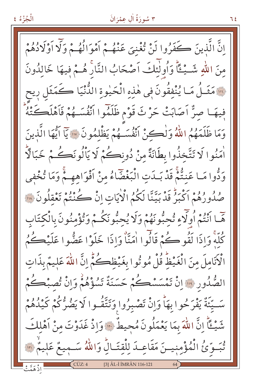انَّ الَّذينَ كَفَرُوا لَنْ تُغْنِيَ عَنْهُمْ أَمْوَالُهُمْ وَلَّا أَوْلَادُهُمْ منَ اللَّهِ شَــبْـئًا وَأُولَٰئِكَ اَصْحَابُ النَّارَ هُــمْ فِيهَا خَالِدُونَ لِلْهَ مَثَلُ مَا يُنْفقُونَ في هٰذِهِ الْحَيْوةِ الدُّنْيَا كَمَثَلِ رِيح فِيهَـا صِنٌّ اَصَابَتْ حَرْثَ قَوْم ظَلَمُوا اَنْفُسَـهُمْ فَاَهْلَكَتْهُ وَمَا ظَلَمَهُمُ اللَّهُ وَلْكِنْ أَنْفُسَـهُمْ يَظْلَمُونَ ۞ يَا أَيُّهَا الَّذِينَ اْمَنُوا لَا تَتَّخِذُوا بِطَانَةً مِنْ دُونِكُمْ لَا يَاْلُونَكُمْ خَبَالَاًّ وَدُّوا مَـا عَنِتُّمْ قَدْ بَـدَتِ الْبَغْضَاءُ مِنْ أَفْوَاهِهِـمْ وَمَا تُخْفِي صُدُورُهُمْ اَكْبَرُ قَدْ بَيِّنَّا لَكُمُ الْأَيَاتِ إِنْ كُنْتُمْ تَعْقِلُونَ ۚ إِلَّا هَّمَا أَنْتُمْ أُولَاءِ تُحبُّونَهُمْ وَلَا يُحِبُّونَكُمْ وَتُؤْمِنُونَ بِالْكِتَابِ كُلُّهُ وَإِذَا لَقُو كُمْ قَالُوا اٰمَنَّاْ وَإِذَا خَلَوْا عَضُّوا عَلَيْكُمُ الْأَنَامِلَ مِنَ الْغَيْظُ قُلْ مُوتُوا بِغَيْظِكُمْ إِنَّ اللَّهَ عَلِيمٌ بِذَاتٍ الصُّدُورِ ۚ إِنْ تَمْسَسْكُمْ حَسَنَةٌ تَسُؤْهُمْ وَإِنْ تُصِبْكُمْ سَــِّيَّةٌ يَفْرَحُوا بِهَاْ وَإِنْْ تَصْبِرُوا وَتَتَّقُـوا لَا يَضُرُّكُمْ كَيْدُهُمْ شَيْـعًا إِنَّ اللَّهَ بِمَا يَعْمَلُونَ مُحِيطٌ \* وَإِذْ غَدَوْتَ مِنْ أَهْلِكَ تُبَوِّئُ الْمُؤْمِنِينَ مَقَاعِدَ لِلْقِتَالِّ وَاللَّهُ سَـمِيعٌ عَلِيمٌ ٣ [3] ÂL-İ İMRÂN 116-121

الْجُزْءُ ٤

ع 7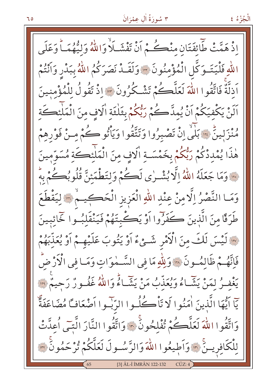الْجُزْءُ ٤

اذْ هَمَّتْ طَّائِفَتَانِ مِنْڪُمْ أَنْ تَفْشَلاً وَاللَّهُ وَلِيُّهُمَـاً وَعَلَى اللَّهِ فَلْيَتَـوَكَّلِ الْمُؤْمِنُونَ \* وَلَقَـدْ نَصَرَكُمُ اللَّهُ بِبَدْرِ وَأَنْتُمْ اَدَلَّةٌ فَاتَّقُوا اللّهَ لَعَلَّكُمْ تَشْكُرُونَ \* إِذْ تَقُولُ لِلْمُؤْمِنِينَ اَلَنْ يَكْفِيَكُمْ اَنْ يُمِدَّكُمْ رَبُّكُمْ بِثَلْثَةِ الَافِ مِنَ الْمَلْئِكَةِ مُنْزَلِينٌ \* بَلَّى اِنْ تَصْبِرُوا وَتَتَّقُوا وَيَأْتُو كُمْ مِنْ فَوْرِهِمْ هٰذَا يُمْدِدْكُمْ رَبُّكُمْ بِخَمْسَـةِ الَافِ مِنَ الْمَلْئِكَةِ مُسَوِّمينَ فَ وَمَا جَعَلَهُ اللَّهُ إِلَّا بُشْرٰى لَكُمْ وَلِتَطْمَئِنَّ قُلُوبُكُمْ بِهِ وَمَا النَّصْرُ اِلَّا مِنْ عِنْدِ اللّهِ الْعَزِيزِ الْحَكِيمْ ۞ لِيَقْطَعَ طَرَقًا منَ الَّذِينَ كَفَرِّوا أَوْ يَكْبِتَهُمْ فَيَنْقَلَبُوا خَائِبِينَ لِهِ لَيْسَ لَكَ مِنَ الْأَمْرِ شَـيْءٌ أَوْ يَتُوبَ عَلَيْهِـمْ أَوْ يُعَذِّبَهُمْ فَاتَّهُـمْ ظَالمُـونَ « وَلِلَّهِ مَا في السَّـمٰوَاتِ وَمَـا فِي الْأَرْضَ يَغْفِيرُ لِمَنْ يَشَاءُ وَيُعَذِّبُ مَنْ يَشَاءُ وَاللَّهُ غَفُورٌ رَحِيمٌ فِي اللَّهُ يّاً أَيُّهَا الَّذِينَ اٰمَنُوا لَا تَأْكُلُوا الرّبِّبوا أَضْعَافًا مُضَاعَفَةٌ وَاتَّقُوا اللَّهَ لَعَلَّكُمْ تُفْلِحُونَ ۞ وَاتَّقُوا النَّارَ الَّتِي أُعِدَّتْ لِلْكَافِرِينَ ۞ وَاَطِيعُوا اللَّهَ وَالرَّسُولَ لَعَلَّكُمْ تُرْحَمُونَ ۞ [3] ÂL-İ İMRÂN 122-132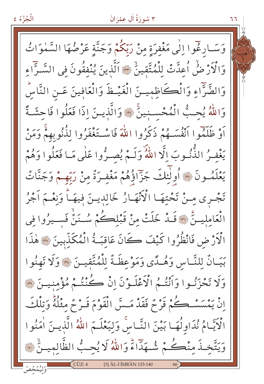الْجُزْءُ ٤

وَسَـارِغُوا إِلَٰى مَغْفِرَةِ مِنْ رَبِّكُمْ وَجَنَّةٍ عَرْضُهَا السَّمٰوَاتُ وَالْأَرْ ضُ اُعِدَّتْ لِلْمُتَّقِينُ ٣ اَلَّذِينَ يُنْفقُونَ في السَّـرَّاءِ وَالضَّرَّاءِ وَالْكَاظِمِينَ الْغَيْظَ وَالْعَافِينَ عَـنِ النَّاسِّ وَاللَّهُ يُحِبُّ الْمُحْسِنِينَ \* وَالَّذِينَ إِذَا فَعَلُوا فَاحِشَةً أَوْ ظَلَمُوا أَنْفُسَـهُمْ ذَكَرُوا اللَّهَ فَاسْـتَغْفَرُوا لِذُنُوبِهِمْ وَمَنْ يَغْفِرُ الذُّنُوبَ الَّا اللَّهُ وَلَـمْ يُصِـرُّوا عَلَى مَـا فَعَلُوا وَهُمْ يَعْلَمُونَ ۞ أُولٰئِكَ جَزَّاؤُهُمْ مَغْفِرَةٌ مِنْ رَبِّهِمْ وَجَنَّاتٌ تَجْرِي مِنْ تَحْتِهَا الْأَنْهَارُ خَالِدِينَ فِيهَـاً وَنِعْـمَ اَجْرُ الْعَامِلِيـنِّ ۞ قَـدْ خَلَتْ مِنْ قَبْلِكُمْ سُـنَنّْ فَسـيرُوا فِي الْأَرْضِ فَانْظُرُوا كَيْفَ كَانَ عَاقبَةُ الْمُكَذِّبِينَ ۞ هٰذَا بَيَـانٌ لِلنَّـاسِ وَهُـدًى وَمَوْعِظَـةٌ لِلْمُتَّقِيـنَ \* وَلَا تَهنُوا وَلَا تَحْزَنُوا وَأَنْتُمُ الْأَعْلَـوْنَ إِنْ كُنْتُمْ مُؤْمِنِيِـنَ ۞ إِنْ يَمْسَسْـكُمْ قَوْمٌ فَقَدْ مَـسَّ الْقَوْمَ قَـوْمٌ مثْلُهُ وَتِلْكَ الْكَيَّامُ نُدَاوِلُهَا بَيْنَ النَّـاسُ وَلِيَعْلَـمَ اللَّهُ الَّذِيـنَ اٰمَنُوا وَيَتَّخِـذَ مِنْكُمْ شُـهَدَاءً وَاللَّهُ لَا يُحِبُّ الظَّالِمِيـنُ بِنَا [3] ÂL-İ İMRÂN 133-140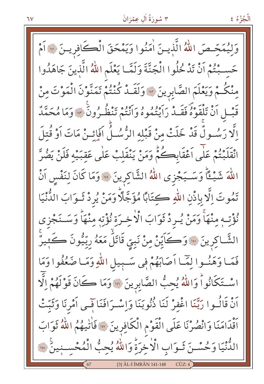الْجُزْءُ ٤

وَلِيُمَحِّصَ اللَّهُ الَّذِينَ اٰمَنُوا وَيَمْحَقَ الْكَافِرِينَ ۞ أَمْ حَسَـبْتُمْ اَنْ تَدْخُلُوا الْجَنَّةَ وَلَمَّـا يَعْلَم اللّهُ الَّذِينَ جَاهَدُوا مِنْكُمْ وَيَعْلَمَ الصَّابِرِينَ \* وَلَقَــدْ كُنْتُمْ تَمَنَّوْنَ الْمَوْتَ مِنْ قَبْـلِ أَنْ تَلْقَوْهُ فَقَــدْ رَايْتُمُوهُ وَأَنْتُمْ تَنْظُـرُونَ ۞ وَمَا مُحَمَّدٌ اِلَّا رَسُـولٌ قَدْ خَلَتْ مِنْ قَبْلِه الرُّسُـلُ افَائِـنْ مَاتَ اَوْ قُتلَ انْقَلَبْتُمْ عَلَى اَعْقَابِكُمْ وَمَنْ يَنْقَلِبْ عَلَى عَقِبَيْهِ فَلَنْ يَضُرَّ اللَّهَ شَيْءًاً وَسَـيَجْزِي اللَّهُ الشَّاكِرِينَ ۞ وَمَا كَانَ لِنَفْسِ اَنْ تَمُوتَ اِلَّا بِاذْنِ اللَّهِ كِتَابًا مُؤَجَّلًا وَمَنْ يُرِدْ ثَــوَابَ الدُّنْيَا نُؤْتِ مِنْهَاْ وَمَنْ يُرِدْ ثَوَابَ الْاخِـرَةِ نُؤْتِهِ مِنْهَاْ وَسَـنَجْزى الشَّاكِرِينَ ۞ وَكَايِّنْ مِنْ نَبِيِّ قَاتَلَ مَعَهُ رِبِّيُونَ كَثِيرٌ فَمَا وَهَنُوا لِمَّا اَصَابَهُمْ فِي سَبِيلِ اللَّهِ وَمَا ضَعُفُوا وَمَا اسْتَكَانُواْ وَاللَّهُ يُحِبُّ الصَّابِرِينَ \* وَمَا كَانَ قَوْلَهُمْ اِلَّهَ اَنْ قَالُــوا رَبَّنَا اغْفرْ لَنَا ذُنُوبَنَا وَاِسْــرَافَنَا فَــى اَمْرِنَا وَثَبّتْ اَقْدَامَنَا وَانْصُرْنَا عَلَى الْقَوْمِ الْكَافِرِينَ \* فَاٰتِيهُمُ اللَّهُ ثَوَابَ الدُّّنْيَا وَحُسْـنَ ثَـوَابِ الْأَخِرَةِ وَاللَّهُ يُحِبُّ الْمُحْسـنِينَ \*\* [3] ÂL-İ İMRÂN 141-148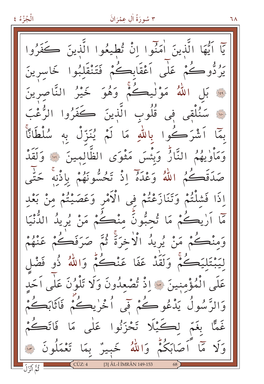الْجُزْءُ ٤ ٣ سُورَةُ أَلِ عِمْرَانَ ٦٨ يّاً أَيُّهَا الَّذِينَ أُمَنُوا إِنْ تُطِيعُوا الَّذِينَ كَفَرُوا يَرُدُّوڪُمْ عَلٰى اَعْقَابِڪُمْ فَتَنْقَلِبُوا خَاسرينَ ِ بَلِ اللَّهُ مَوْلْيِكُمْ وَهُوَ خَيْرُ النَّاصِرِينَ وا سَنُلْقِى فِي قُلُوبِ الَّذِينَ كَفَرُوا الرُّغْبَ بِمَا اَشْرَكُوا بِاللَّهِ مَا لَمْ يُنَزِّلْ بِهِ سُلْطَاتًا وَمَأْوٰيِهُمُ النَّارُّ وَبِئْسَ مَثْوَى الظَّالِمِينَ ۞ وَلَقَدْ صَدَقَكُمُ اللَّهُ وَعْدَهُ إِذْ تَحُسُّونَهُمْ بِإِذْنِهِ حَتَّى إِذَا فَشِلْتُمْ وَتَنَازَعْتُمْ فِي الْأَمْرِ وَعَصَيْتُمْ مِنْ بَعْدِ مَّا أَرْيِكُمْ مَا تُحبُّونَ منْكُمْ مَنْ يُرِيدُ الدُّنْيَا وَمِنْكُمْ مَنْ يُرِيدُ الْاخْرَةَ ثُمَّ صَرَفَكُمْ عَنْهُمْ لِيَبْتَلِيَكُمْ وَلَقَدْ عَفَا عَنْڪُمْ وَاللَّهُ ذُو فَضْل عَلَى الْمُؤْمِنِينَ ۞ إِذْ تُصْعِدُونَ وَلَا تَلْوُنَ عَلَى اَحَد وَالرَّسُولُ يَدْعُوكُمْ فَى أُخْرٰيڪُمْ فَاثَابَڪُمْ غَمًّا بِغَمِّ لِكَيْلًا تَحْزَنُوا عَلَى مَا فَاتَكُمْ وَلَا مَّا أَصَابَكُمْ وَاللَّهُ خَبِيرٌ بِمَا تَعْمَلُونَ ۞ <mark>َ ثُمَّ أَنْزَلَ</mark> [3] ÂL-İ İMRÂN 149-153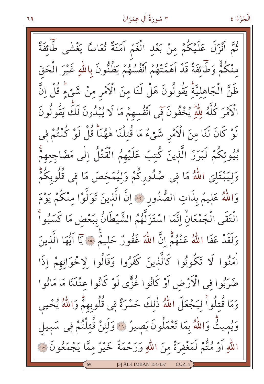الْجُزْءُ ٤

ثُمَّ أَنْزَلَ عَلَيْكُمْ مِنْ بَعْدِ الْغَمِّ أَمَنَةً نُعَاسًا يَغْشَى طَائِفَةً مِنْكُمْ وَطَّائِفَةٌ قَدْ آهَمَّتْهُمْ أَنْفُسُهُمْ يَظُنُّونَ بِاللّهِ غَيْرَ الْحَقّ ظَنَّ الْجَاهِلِيَّةِ يَقُولُونَ هَلْ لَنَا مِنَ الْأَمْرِ مِنْ شَيْءٍ قُلْ اِنَّ الْاَمْرَ كُلَّهُ لِلْمَٰ يُخْفُونَ فَمِي اَنْفُسهِمْ مَا لَا يُبْدُونَ لَكَ يَقُولُونَ لَوْ كَانَ لَنَا مِنَ الْأَمْرِ شَيْءٌ مَا قُتِلْنَا هٰهُنَاً قُلْ لَوْ كُنْتُمْ فِي بُيُوتِكُمْ لَبَرَزَ الَّذِينَ كُتِبَ عَلَيْهِمُ الْقَتْلُ اِلٰى مَضَاجِعِهِمْ وَلِيَبْتَلِيَ اللَّهُ مَا فِي صُدُورِكُمْ وَلِيُمَحِّصَ مَا فِي قُلُوبِكُمُّ وَاللَّهُ عَلِيمٌ بِذَاتِ الصُّدُورِ \* إِنَّ الَّذِينَ تَوَلَّوْا مِنْكُمْ يَوْمَ الْتَقَى الْجَمْعَانْ اِنَّمَا اسْتَزَلَّهُمُ الشَّيْطَانُ بِبَعْضٍ مَا كَسَبُواْ وَلَقَدْ عَفَا اللَّهُ عَنْهُمُّ إِنَّ اللَّهَ غَفُورٌ حَلِيمٌ ۞ يَا أَيُّهَا الَّذِينَ أَمَنُوا لَا تَكُونُوا كَالَّذِينَ كَفَرُوا وَقَالُوا لِإِخْوَانِهِمْ إِذَا صَرَبُوا فِي الْأَرْضِ أَوْ كَانُوا غُزًّى لَوْ كَانُوا عِنْدَنَا مَا مَاتُوا وَمَا قُتلُواً لِيَجْعَلَ اللَّهُ ذٰلكَ حَسْرَةً فِي قُلُوبِهِمْ وَاللَّهُ يُحْيِي وَيُمِيثُ وَاللَّهُ بِمَا تَعْمَلُونَ بَصِيرٌ ۞ وَلَئِنْ قُتِلْتُمْ فِي سَبِيل اللَّهِ أَوْ مُتُّمْ لَمَغْفِرَةٌ مِنَ اللَّهِ وَرَحْمَةٌ خَيْرٌ مِمَّا يَجْمَعُونَ ۞ [3] ÂL-İ İMRÂN 154-157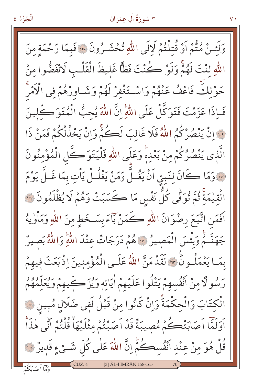وَلَئِـنْ مُتُّمْ أَوْ قُتِلْتُمْ لَالَى اللَّهِ تُحْشَـرُونَ ۞ فَبِمَا رَحْمَةِ منَ اللَّهِ لنْتَ لَهُمْ وَلَوْ كُنْتَ فَظًّا غَليظَ الْقَلْبِ لَانْفَضُّوا مِنْ حَوْلِكَ فَاعْفُ عَنْهُمْ وَاسْتَغْفِرْ لَهُمْ وَشَـاوِرْهُمْ فِي الْأَمْرِ فَـاِذَا عَزَمْتَ فَتَوَكَّلْ عَلَى اللّهِ إِنَّ اللّهَ يُحبُّ الْمُتَوَكَّلينَ وَرَ إِنْ يَنْصُرْكُمُ اللَّهُ فَلَا غَالبَ لَكُمْ وَإِنْ يَخْذُلْكُمْ فَمَنْ ذَا الَّذِي يَنْصُرُكُمْ مِنْ بَعْدِهِ وَعَلَى اللَّهِ فَلْيَتَوَ كَّلِ الْمُؤْمِنُونَ فِيَّةٍ وَمَا كَانَ لِنَبِيِّ اَنْ يَغُـلَّ وَمَنْ يَغْلُـلْ يَأْتِ بِمَا غَـلَّ يَوْمَ الْقِيْمَةِ ثُمَّ تُوَفِّى كُلَّ نَفْسِ مَا كَسَبَتْ وَهُمْ لَا يُظْلَمُونَ ۞ اَفَمَنِ اتَّبَعَ رِضْوَانَ اللَّهِ ڪَمَنْ بَاءَ بِسَخَطِ منَ اللَّهِ وَمَأْوٰيهُ جَهَنَّـمٌ وَبِئْسَ الْمَصِيرُ \* وَهُمْ دَرَجَاتٌ عِنْدَ اللَّهِ وَاللَّهُ بَصِيرٌ بِمَـا يَعْمَلُـونَ \* لَقَدْمَنَّ اللَّهُ عَلَـى الْمُؤْمِنينَ اِذْبَعَثَ فِيهِمْ رَسُولًا منْ اَنْفُسهمْ يَتْلُوا عَلَيْهِمْ اٰيَاتِه وَيُزَكِّيهِمْ وَيُعَلِّمُهُمُ الْكتَابَ وَالْحِكْمَةَ وَإِنْ كَانُوا مِنْ قَبْلُ لَفي ضَلَالٍ مُبِينٍ ۞ أَوَلَمَّا أَصَابَتْكُمْ مُصِيبَةٌ قَدْ أَصَبْتُمْ مِثْلَيْهَاْ قُلْتُمْ أَنِّي هٰذَاْ قُلْ هُوَ مِنْ عِنْدِ أَنْفُسِكُمْ إِنَّ اللّٰهَ عَلٰى كُلِّ شَـئٍ ءٍ قَدِيرٌ ۞ وَمَّا أَصَابَكُمْ [3] ÂL-İ İMRÂN 158-165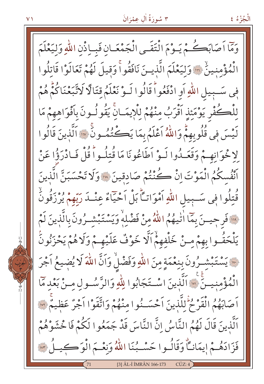وَمَّا أَصَابَكُمْ يَـوْمَ الْتَقَـى الْجَمْعَـانِ فَبِياذْنِ اللّهِ وَلِيَعْلَمَ الْمُؤْمِنينُ ۚ " وَلِيَعْلَمَ الَّذِينَ نَافَقُوا ۚ وَقِيلَ لَهُمْ تَعَالَوْا قَاتِلُوا فِي سَبِيلِ اللَّهِ أَوِ ادْفَعُوا ّقَالُوا لَـوْ نَعْلَمُ قِتَالًا لَاتَّبَعْنَاكُمْ هُمْ لِلْكُفْرِ يَوْمَئِذِ آقْرَبُ مِنْهُمْ لِلْإِيمَـانِّ يَقُو لُـونَ بِأَفْوَاهِهِمْ مَا لَيْسَ فِي قُلُوبِهِمْ وَاللَّهُ أَعْلَمُ بِمَا يَڪُنُّهُ وِنَّ ۞ اَلَّذِينَ قَالُوا لِاخْوَانِهِمْ وَقَعَمْدُوا لَـوْ اَطَاعُونَا مَا قُتلُـواً قُلْ فَـادْرَؤُا عَنْ اَنْفُسِكُمُ الْمَوْتَ إِنْ كُنْتُمْ صَادِقِينَ لِلَّهِ وَلَا تَحْسَبَنَّ الَّذِينَ قُتِلُوا فِي سَـبِيلِ اللّهِ اَمْوَاتِّأَ بَلْ اَحْيَاءٌ عِنْـدَ رَبّهمْ يُرْزَقُونُّ فِينَ فَرحِيسَ بِمَا الْيُهُمُ اللَّهُ مِنْ فَضْلِهِ وَيَسْتَبْشَـرُونَ بِالَّذِينَ لَمْ يَلْحَقُوا بِهِمْ مِـنْ خَلْفِهِمْ اَلَّا خَوْفٌ عَلَيْهِـمْ وَلَا هُمْ يَحْزَنُونَ · يَسْتَبْشِـرُونَ بِنِعْمَةٍ مِنَ اللّهِ وَفَضْلُ وَاَنَّ اللّهَ لَا يُضِيعُ اَجْرَ الْمُؤْمنيــنَ « اَلَّذينَ اسْـتَجَابُوا لِلّٰهِ وَالرَّسُــولِ مــنْ بَعْد مَا أَصَابَهُمُ الْقَرْحُ لِلَّذِينَ أَحْسَنُوا مِنْهُمْ وَاتَّقَوْا أَجْرٌ عَظِيمٌ ۞ اَلَّذِينَ قَالَ لَهُمُ النَّاسُ إِنَّ النَّاسَ قَدْ جَمَعُوا لَكُمْ فَاخْشَوْهُمْ فَزَادَهُـمْ إيمَانِــاً وَقَالُــوا حَسْــبُنَا اللّهُ وَنِعْــمَ الْوَكِـــِـلُ ٣ [3] ÂL-I IMRÂN 166-173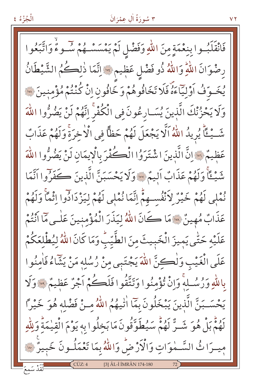## ٣ سُورَةُ أَلِ عِمْرَانَ

v۲

فَانْقَلَبُـوا بِنِعْمَةٍ مِنَ اللّهِ وَفَضْلِ لَمْ يَمْسَسْـهُمْ سُّـوءٌ وَاتَّبَعُوا رِضْوَانَ اللَّهِ وَاللَّهُ ذُو فَضْلِ عَظِيمٍ \* اِنَّمَا ذٰلِكُمُ الشَّيْطَانُ يُخَـوّفُ أَوْلِيّاًءَهُ فَلَا تَخَافُوهُمْ وَخَافُونِ إِنْ كُنْتُمْ مُؤْمِنِينَ ۞ وَلَا يَحْزُنْكَ الَّذِينَ يُسَـارِعُونَ فِي الْكُفْرَ اِنَّهُمْ لَنْ يَضُرُّوا اللَّهَ شَــيْـئًا يُرِيدُ اللّهُ اَلَّا يَجْعَلَ لَهُمْ حَظًّا فِي الْاخِرَةِ وَلَهُمْ عَذَابٌ عَظِيمٌ ﴾ [الَّ الَّذِينَ اشْتَرَوُا الْكُفْرَ بِالْإِيمَانِ لَنْ يَضُرُّوا اللَّهَ شَيْئًا وَلَهُمْ عَذَابٌ أَلِيمٌ \* وَلَا يَحْسَبَنَّ الَّذِينَ كَفَرُوا أَنَّمَا نُمْلِي لَهُمْ خَيْرٌ لِأَنْفُسِهِمْ إِنَّمَا نُمْلِي لَهُمْ لِيَزْدَادُوا إِثْمًا وَلَهُمْ عَذَابٌ مُهِينٌ «مَا كَانَ اللَّهُ لِيَذَرَ الْمُؤْمِنِينَ عَلَى مَّا أَنْتُمْ عَلَيْهِ حَتّٰى يَمِيزَ الْخَبِيثَ مِنَ الطَّيّبِ وَمَا كَانَ اللّٰهُ لِيُطْلِعَكُمْ عَلَى الْغَيْبِ وَلْكِنَّ اللَّهَ يَجْتَبِي مِنْ رُسُلِهِ مَنْ يَتِّمَاءُ فَاٰمِنُوا بِاللَّهِ وَرُسُلِّهِ وَإِنْ تُؤْمِنُوا وَتَتَّقُوا فَلَكُمْ أَجْرٌ عَظِيمٌ ۚ وَلَا يَحْسَـبَنَّ الَّذِينَ يَبْخَلُونَ بِمَّا اٰتِّيهُمُ اللَّهُ مِـنْ فَضْلِهِ هُوَ خَيْرًا لَهُمُّ بَلْ هُوَ شَــرٌّ لَهُمْ سَيُطَوَّقُونَ مَا بَخِلُوا بِهِ يَوْمَ الْقِيٰمَةِّ وَلِلَّهِ مِيرَا ثُ السَّـمٰوَاتِ وَالْأَرْضُ وَاللَّهُ بِمَا تَعْمَلُـونَ خَبِيرٌ ۞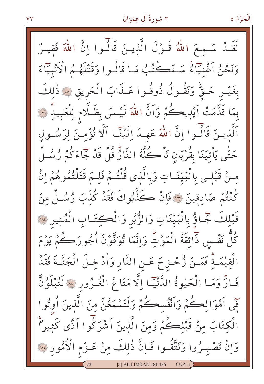الْجُزْءُ ٤

لَقَـٰذُ سَـٰمِـمَ اللّٰہُ قَـوْلَ الَّذِيـنَ قَالَـٰوا اِنَّ اللّٰہَ فَقيـرٌ وَنَحْنُ أَغْنِيَاءُ سَنَكْتُبُ مَا قَالُوا وَقَتْلَهُمُ الْأَنْبِيَّاءَ بِغَيْـرٍ حَـقٌّ وَنَقُـولُ ذُوقُـوا عَـذَابَ الْحَرِيقِ ۞ ذٰلِكَ بِمَا قَدَّمَتْ أَيْدِيكُمْ وَأَنَّ اللَّهَ لَيْسَ بِظَلَّامٍ لِلْعَبِيدِ ۞ اَلَّذِينَ قَالُسُوا إِنَّ اللَّهَ عَهِـدَ إِلَيْنَـا اَلَّا نُؤْمِـنَ لِرَسُـولٍ حَتّٰى يَأْتِيَنَا بِقُرْبَانِ تَأْكُلُهُ النَّارُّ قُلْ قَدْ جَاءَكُمْ رُسُـلٌ مِنْ قَبْلِي بِالْبَيِّنَـاتِ وَبِالَّذِي قُلْتُـمْ فَلـمَ قَتَلْتُمُوهُمْ انْ كُنْتُمْ صَادِقِينَ ﴾ قَانْ كَذَّبُوكَ فَقَدْ كُذَّبَ رُسُـلٌ مِنْ قَبْلِكَ جَمَاؤُ بِالْبَيِّنَاتِ وَالزُّبُرِ وَالْكِتَابِ الْمُنيرِ ۞ كُلُّ نَفْسٍ ذَائِقَةُ الْمَوْتِّ وَإِنَّمَا تُوَفَّوْنَ أُجُورَكُمْ يَوْمَ الْقِيْمَـةِّ فَمَـنْ زُحْـزِحَ عَـنِ النَّارِ وَأُدْخِـلَ الْجَنَّـةَ فَقَدْ فَبَارٌّ وَمَبَا الْحَيْوةُ الدُّنْيِّبَا إِلَّا مَتَاعُ الْغُـرُورِ \* لَتُبْلَوُنَّ فِّي اَمْوَالِكُمْ وَاَنْفُسكُمْ وَلَتَسْمَعُنَّ مِنَ الَّذِينَ اُوتُوا الْكِتَابَ مِنْ قَبْلِكُمْ وَمِنَ الَّذِينَ اَشْرَكُوا اَذًى كَثِيراً وَإِنْ تَصْبِـرُوا وَتَتَّقُّـوا فَـاِنَّ ذٰلِكَ مِنْ عَـزْمِ الْأُمُورِ ۞ ÂL-I IMRÂN 181-186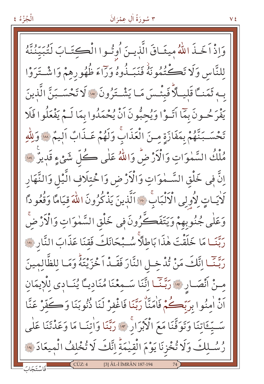وَاذْ اَخَـذَ اللَّهُ مِيثَـاقَ الَّذيـنَ أُوتُـوا الْكِتَـابَ لَتُبَيِّنُنَّهُ للنَّاسِ وَلَا تَكْتُمُونَهُ فَنَبَـٰذُوهُ وَرَاءَ ظُهُورِهِمْ وَاشْـتَرَوْا بِهِ ثَمَنـًا قَلِيـلاً فَبِئْـسَ مَـا يَشْـتَرُونَ \* لَا تَحْسَـبَنَّ الَّذِينَ يَفْرَحُــونَ بِمَّا آتَــوْا وَيُحِبُّونَ آنْ يُحْمَدُوا بِمَا لَــمْ يَفْعَلُوا فَلَا تَحْسَـبَنَّهُمْ بِمَفَازَةٍ مِنَ الْعَذَابَّ وَلَهُمْ عَـذَابٌ اَلِيمٌ سَوَلِلَّهِ مُلْكُ السَّمٰوَاتِ وَالْأَرْضُ وَاللَّهُ عَلٰى كُلِّ شَيْءٍ قَدِيرٌ \*\* إِنَّ فِي خَلْقِ السَّــٰمٰوَاتِ وَالْأَرْضِ وَاخْتِلَافِ الَّيْلِ وَالنَّهَار لَأَيَـاتٍ لِأُولِي الْآلْبَابَ \* اَلَّذِينَ يَذْكُرُونَ اللَّهَ قيَامًا وَقُعُو دًا وَعَلٰى جُنُوبِهِمْ وَيَتَفَكَّرُونَ فِي خَلْقِ السَّمٰوَاتِ وَالْأَرْضَّ رَبَّنَـا مَا خَلَقْتَ هٰذَا بَاطِلًا سُـبْحَانَكَ فَقنَا عَذَابَ النَّارِ وَوَ رَبَّنَـا اِنَّكَ مَنْ تُدْخِـلِ النَّارَ فَقَـدْ اَخْزَيْتَهُ وَمَـا لِلظَّالِمينَ مِنْ اَنْصَارِ \* رَبِّنَا اِتَّنَا سَـمِعْنَا مُنَادِيًّا يُنَـادِي لِلْإِيمَانِ أَنْ أُمِنُوا بِرَبِّكُمْ فَأُمَنَّا رَبَّنَا فَاغْفِرْ لَنَا ذُنُوبَنَا وَكَفَّرْ عَنَّا سَّيِّعَاتِنَا وَتَوَفَّنَا مَعَ الْأَبْرَارِ \* رَبَّنَا وَاٰتِنَـا مَا وَعَدْتَنَا عَلَى رُسُلِكَ وَلَا تُخْزِنَا يَوْمَ الْقِيْمَةِ إِنَّكَ لَا تُخْلِفُ الْمِيعَادَ \* [3] ÂL-İ İMRÂN 187-194

الْجُزْءُ ٤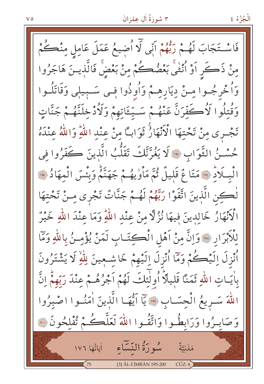فَاسْتَجَابَ لَهُمْ رَبُّهُمْ اَنِّي لَّا اُضِيعُ عَمَلَ عَامِلٍ مِنْڪُمْ مِنْ ذَكَرٍ أَوْ أُنْثَى بَعْضُكُمْ مِنْ بَعْضٌ فَالَّذِينَ هَاجَرُوا وَأُخْرِجُـوا مِـنْ دِيَارِهِـمْ وَأُوذُوا فِـى سَـبِيلٖى وَقَاتَلُـوا وَقُتِلُوا لَأُكَفِّرَنَّ عَنْهُـمْ سَـيِّـَٔاتِهِمْ وَلَأُدْخِلَنَّهُـمْ جَنَّاتٍ تَجْرِي مِنْ تَحْتِهَا الْأَنْهَارُ ثَوَابًا مِنْ عِنْدِ اللَّهِ وَاللَّهُ عِنْدَهُ حُسْـنُ الثَّوَابِ \* لَا يَغُرَّنَّكَ تَقَلُّبُ الَّذِينَ كَفَرُوا في الْبِلَادُ ۞ مَتَاعٌ قَلِيلٌ ثُمَّ مَأْوٰيهُمْ جَهَنَّمُ وَبِئْسَ الْمهَادُ ۞ لْڪِنِ الَّذِينَ اتَّقَوْا رَبَّهُمْ لَهُـمْ جَنَّاتٌ تَجْرِى مِـنْ تَحْتِهَا الْأَنْهَارُ خَالِدِينَ فِيهَا نُزُلًّا مِنْ عِنْدِ اللَّهِ وَمَا عِنْدَ اللَّهِ خَيْرٌ لِلْأَبْرَارِ ﴾ وَإِنَّ مِنْ أَهْلِ الْكِتَـابِ لَمَنْ يُؤْمِـنُ بِاللَّهِ وَمَّا ٱُنْزِلَ اِلَيْڪُمْ وَمَآا ٱُنْزِلَ اِلَيْهِمْ خَاشْـعِينَ لِلّٰهِ لَا يَشْتَرُونَ بِاٰيَـاتِ اللَّهِ ثَمَنًا قَلِيلًا أُولَٰئِكَ لَهُمْ اَجْرُهُـمْ عِنْدَ رَبِّهِمْ اِنَّ اللهَ سَـرِيعُ الْحِسَـابِ \* يَآ اَيُّهَـا الَّذِينَ اٰمَنُـوا اصْبِرُوا وَصَابِيرُوا وَرَابِطُوا وَاتَّقُوا اللَّهَ لَعَلَّكُمْ تُفْلِحُونَ ١٠ سُوِرَةُ النَّسَاءِ لٰإِيَّاتُهَا ١٧٦ مَلَنِيَّةٌ [3] ÂL-İ İMRÂN 195-200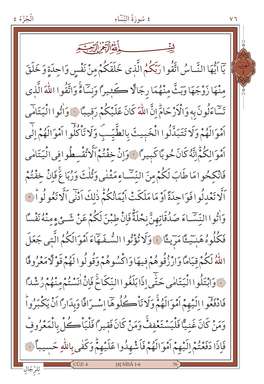# الْجُزْءُ ٤ ٤ سُورَةُ النِّسَاءِ  $V<sub>1</sub>$ يّاً أَيُّهَا النَّـاسُ اتَّقُوا رَبِّكُمُ الَّذِي خَلَقَكُمْ مِنْ نَفْسِ وَاحِدَةٍ وَخَلَقَ مِنْهَا زَوْجَهَا وَبَثٌّ مِنْهُمَا رِجَالًا كَثِيراً وَنِسَاءً وَاتَّقُوا اللَّهَ الَّذِي تَسَاءَلُونَ بِهِ وَالْأَرْجَامُّ إِنَّ اللَّهَ كَانَ عَلَيْكُمْ رَقِيبًا ﴾ وَاٰتُوا الْيَتَامَى أَمْوَالَهُمْ وَلَا تَتَبَدَّلُوا الْخَبِيثَ بِالطَّيِّبِّ وَلَا تَأْكُلُوا أَمْوَالَهُمْ إِلَى ٱمْوَالِكُمُّ إِنَّهُ كَانَ حُوبًا كَبِيرًا ۚ وَإِنْ خِفْتُمْ اَلَّا تُقْسطُوافِي الْيَتَامٰي فَانْكِحُوامَا طَابَ لَكُمْ مِنَ النِّسَّاءِمَثْنٰي وَثُلْثَ وَرُبَاعَ فَإِنْ خِفْتُمْ اَلَّا تَعْدِلُوا فَوَاحِدَةً اَوْ مَا مَلَكَتْ اَيْمَانُكُمّْ ذٰلِكَ اَدْنَى اَلَّا تَعُو لُواْ تَ وَاْتُوا النَّسَّـاءَ صَدُقَاتِهِنَّ نِحْلَةًّ فَإِنْ طبْنَ لَكُمْ عَنْ شَـعْ ءِمنْهُ نَفْسًا فَكُلُوهُ هَنِيَّــ ۚ قَامَرَيْـ ۚ وَلَا تُؤْتُوا الشُّـفَـهَّاءَ اَمْوَالَكُمُ الَّتِي جَعَلَ اللَّهُ لَكُمْ قِيَامًا وَارْزُقُوهُمْ فِيهَا وَاكْسُوهُمْ وَقُولُوا لَهُمْ قَوْلًا مَعْرُوفًا فَ وَابْتَلُوا الْيَتَامٰى حَتَّى إِذَابَلَغُوا النِّكَاحَ فَإِنْ اٰنَسْتُمْ مِنْهُمْ رُشْدًا فَادْفَعُوا إِلَيْهِمْ أَمْوَالَهُمْ وَلَا تَأْكُلُوهَا إِسْرَافًا وَبِدَاراً أَنْ يَكْبَرُواْ وَمَنْ كَانَ غَنيًّا فَلْيَسْتَعْفِفٌ وَمَنْ كَانَ فَقيراً فَلْيَاْكُلْ بِالْمَعْرُوفِّ فَإِذَا دَفَعْتُمْ إِلَيْهِمْ اَمْوَالَهُمْ فَاَشْهِدُوا عَلَيْهِمْ وَكَفٰى بِاللّهِ حَسيباً لَّ  $[4]$  NISÂ 1-6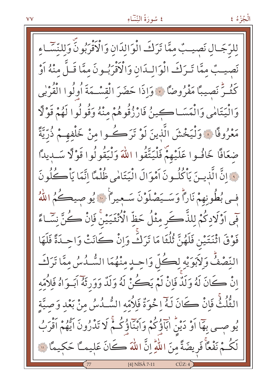#### ٤ سُورَةُ النِّسَاءِ

الْجُزْءُ ٤

لِلرَّجَـالِ نَصيـبٌ ممَّا تَرَكَ الْوَالدَانِ وَالْأَقْرَبُونَّ وَللنَّسَّـاء نَصِيبٌ ممَّا تَـرَكَ الْوَالـدَانِ وَالْأَقْرَبُـونَ ممَّا قَـلَّ منْهُ اَوْ كَثُـرٌّ نَصِيبًا مَفْرُوضًا ۞ وَإِذَا حَضَرَ الْقِسْـمَةَ أُولُوا الْقُرْبِي وَالْيَتَامٰى وَالْمَسَـاكِينُ فَارْزُقُوهُمْ منْهُ وَقُولُوا لَهُمْ قَوْلًا مَعْرُوفًا ﴾ وَلْيَخْشَ الَّذينَ لَوْ تَرَكُسُوا منْ خَلْفهِمْ ذُرِّيَّةً ضَعَافًا خَافُوا عَلَيْهِمٌّ فَلْيَتَّقُوا اللَّهَ وَلْيَقُولُوا قَوْلًا سَبِيدًا فَ إِنَّ الَّذِينَ يَأْكُلُونَ أَمْوَالَ الْيَتَامِٰي ظُلْمًا إِنَّمَا يَأْكُلُونَ فِي بُطُونِهِمْ نَارًا وَسَـيَصْلَوْنَ سَـعِيرًا ۚ ﴾ يُو صيڪُمُ اللّٰهُ َفِي اَوْلَادِكُمْ لِلذَّكَرِ مِثْلُ حَظِّ الْأُنْثَيَيْنَ فَإِنْ كُنَّ نِسَّاءً فَوْقَ اثْنَتَيْنِ فَلَهُنَّ ثُلُثَا مَا تَرَكْ وَإِنْ كَانَتْ وَاحِدَةً فَلَهَا النِّصْفٌ وَلاَبَوَيْهِ لِكُلِّ وَاحِدٍ مِنْهُمَا السُّدُسُ مِمَّا تَرَكَ اِنْ كَانَ لَهُ وَلَدٌ فَإِنْ لَمْ يَكُنْ لَهُ وَلَدٌ وَوَرِثَهُ آبَـوَاهُ فَلِأُمِّهِ الثُّلُثُّ فَإِنْ كَانَ لَهُ إِخْوَةٌ فَلِأُمِّه السُّـٰدُسُ مِنْ بَعْدِ وَصِيَّةٍ يُو صِحِي بِهَا أَوْ دَيْنُ ابَاَؤُكُمْ وَابْنَاؤُكُمْ لَا تَدْرُونَ اَيُّهُمْ اَقْرَبُ لَكُمْ نَفْعًاْ فَرِيضَةً مِنَ اللَّهِ إِنَّ اللَّهَ كَانَ عَلِيمـًا حَكيمًا ۞ [4] NİSÂ 7-11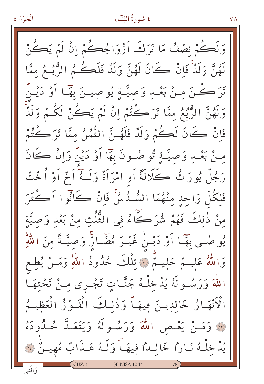#### ٤ سُورَةُ النِّسَاءِ

 $V \Lambda$ 

وَلَكُمْ نِصْفُ مَا تَرَكَ اَزْوَاجُكُمْ إِنْ لَمْ يَكُنْ لَهُنَّ وَلَدٌ فَانْ كَانَ لَهُنَّ وَلَدٌ فَلَكُمُ الرُّبُعُ مِمَّا كُنَّ مِنْ بَعْبٍ وَصِيَّةٍ يُوصِينَ بِهَا أَوْ دَيْنُ  $\tilde{\ddot{\bm{u}}}$ وَلَهُنَّ الرُّبُعُ مِمَّا تَرَكْتُمْ إِنْ لَمْ يَكُنْ لَكُمْ وَلَدٌّ فَانْ كَانَ لَكُمْ وَلَدٌ فَلَهُـنَّ الثُّمُنُ مِمَّا تَرَكْتُمْ مِنْ بَعْبٍ وَصِيَّةٍ ثُو صُونَ بِهَا أَوْ دَيْنُ وَإِنْ كَانَ رَجُلٌ يُورَثُ ڪَلَالَةً أَوِ امْرَأَةٌ وَلَـهُ أَثْمِ أَوْ أُخْتٌ فَلِكُلِّ وَاحِدٍ مِنْهُمَا السُّدُسُ فَانْ كَأَنُّوا اَكْثَرَ منْ ذٰلكَ فَهُمْ شُرَكَاءُ في الثُّلُثِ منْ بَعْدٍ وَصِيَّةٍ يُوصْحِي بِهَمَا أَوْ دَيْـنْ غَيْـرَ مُضَّـارٌ وَصِيَّـةً مِنَ اللَّهِ وَاللَّهُ عَلِيــمٌ حَلِيــمٌّ ۞ تِلْكَ حُدُودُ اللَّهِ وَمَــنْ يُطِع اللَّهَ وَرَسُــولَهُ يُدْخَلْـهُ جَنَّــاتٍ تَجْــرى مِــنْ تَحْتِهَــا الْأَنْهَارُ خَالِدِينَ فِيهَـاً وَذٰلِكَ الْفَوْزُ الْعَظِيـمُ لَّةً وَمَنْ يَعْـص اللهَ وَرَسُـولَهُ وَيَتَعَـدَّ حُـدُودَهُ يُدْ خِلْهُ نَاراً خَالِداً فِيهَــّ وَلَـهُ عَــذَابٌ مُهِيــنٌ فَ [4] NISÂ 12-14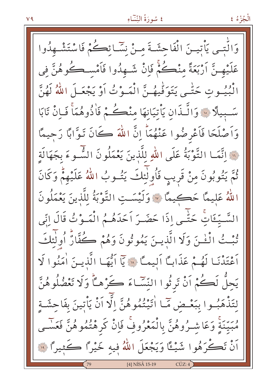#### ٤ سُورَةُ النِّسَاءِ

الْجُزْءُ ٤

وَالَّتــي يَأْتيــنَ الْفَاحِشَـةَ مـنْ نِسَّـائِكُمْ فَاسْتَشْــهِدُوا عَلَيْهِـنَّ اَرْبَعَةً منْڪُمْ فَإِنْ شَـهِدُوا فَاَمْسـڪُوهُنَّ في انْكِيُوتِ حَتَّـى يَتَوَفَّيْهُـنَّ الْمَـوْتُ أَوْ يَجْعَـلَ اللَّهُ لَهُنَّ سَّبِيلًا ۚ وَالَّـذَانِ يَأْتِيَانِهَا مِنْكُمْ فَاٰذُوهُمَاْ فَبِانْ تَابَا وَاَصْلَحَا فَاَعْرِضُوا عَنْهُمَاْ إِنَّ اللَّهَ كَانَ تَوَّابًا رَحِيمًا لِلَّهَ التَّوْبَةُ عَلَى اللهِ لِلَّذِينَ يَعْمَلُونَ الشَّـوءَ بِجَهَالَة ثُمَّ يَتُوبُونَ مِنْ قَرِيبٍ فَأُولٰئِكَ يَتُسوبُ اللَّهُ عَلَيْهِمْ وَكَانَ اللهُ عَلِيمًا حَكِيمًا \* وَلَيْسَتِ التَّوْبَةُ للَّذينَ يَعْمَلُونَ السَّـيِّـئَاتِ حَتَّـى إِذَا حَضَـرَ اَحَدَهُـمُ الْمَـوْتُ قَالَ إِنِّى تُبْتُ الْمُخْنَ وَلَا الَّذِينَ يَمُوتُونَ وَهُمْ كُفَّارٌ أُولٰئِكَ أَعْتَدْنَـا لَهُـمْ عَذَابًا أَليمـًّا ۞ يَا أَيُّهَـا الَّذيـنَ أُمَنُوا لَا يَجِلُّ لَكُمْ أَنْ تَرِثُوا النِّسَّاءَ كَرْهـَّأْ وَلَا تَعْضُلُوهُنَّ لِتَذْهَبُوا بِبَعْـضِ مَّـا اٰتَيْتُمُوهُنَّ اِلَّا اَنْ يَأْتِينَ بِفَاحِشَـةٍ مُبَيِّنَةٍ وَعَاشِـرُوهُنَّ بِالْمَعْرُوفِ فَإِنْ كَرِهْتُمُوهُنَّ فَعَسَـى اَنْ تَكُرَهُوا شَيْءًا وَيَجْعَلَ اللَّهُ فِيهِ خَيْرًا كَثِيرًا ۚ لِنَّ [4] NİSÂ 15-19